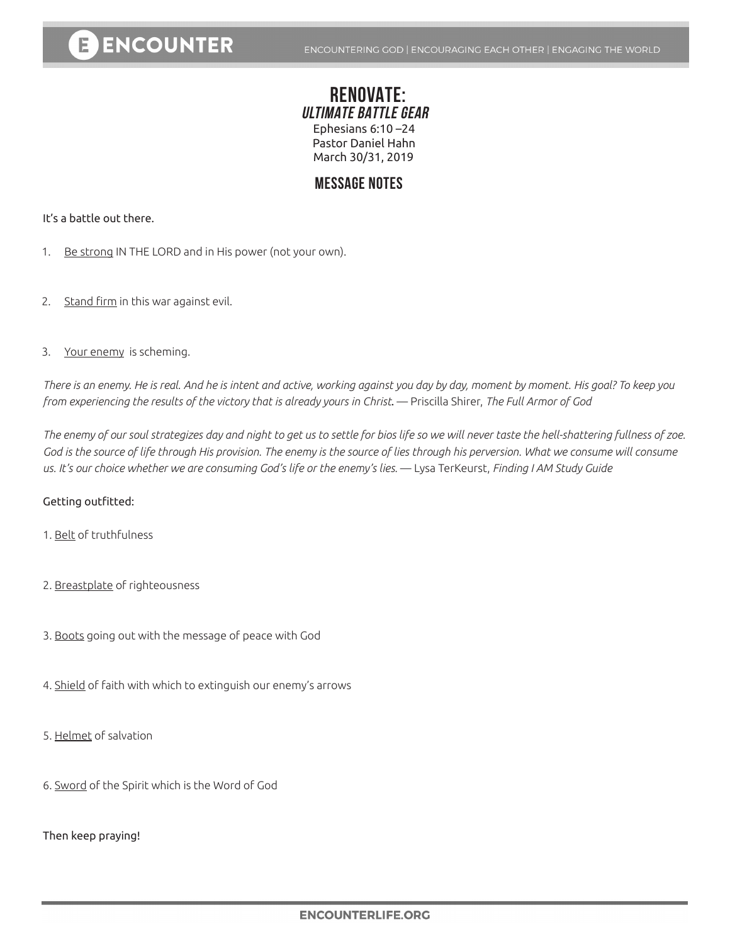### **RENOVATE: ULTIMATE BATTLE GEAR** Ephesians 6:10 –24 Pastor Daniel Hahn March 30/31, 2019

## **MESSAGE NOTES**

#### It's a battle out there.

- 1. Be strong IN THE LORD and in His power (not your own).
- 2. Stand firm in this war against evil.
- 3. Your enemy is scheming.

*There is an enemy. He is real. And he is intent and active, working against you day by day, moment by moment. His goal? To keep you from experiencing the results of the victory that is already yours in Christ*. — Priscilla Shirer, *The Full Armor of God*

*The enemy of our soul strategizes day and night to get us to settle for bios life so we will never taste the hell-shattering fullness of zoe.*  God is the source of life through His provision. The enemy is the source of lies through his perversion. What we consume will consume *us. It's our choice whether we are consuming God's life or the enemy's lies.* — Lysa TerKeurst, *Finding I AM Study Guide*

#### Getting outfitted:

- 1. Belt of truthfulness
- 2. Breastplate of righteousness
- 3. Boots going out with the message of peace with God
- 4. Shield of faith with which to extinguish our enemy's arrows
- 5. Helmet of salvation
- 6. Sword of the Spirit which is the Word of God

Then keep praying!